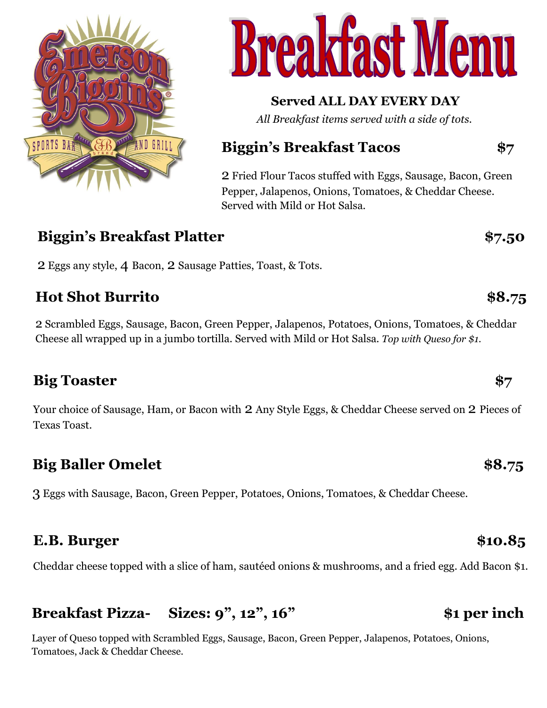



## **Served ALL DAY EVERY DAY**

*All Breakfast items served with a side of tots.*

## **Biggin's Breakfast Tacos \$7**

2 Fried Flour Tacos stuffed with Eggs, Sausage, Bacon, Green Pepper, Jalapenos, Onions, Tomatoes, & Cheddar Cheese. Served with Mild or Hot Salsa.

## **Biggin's Breakfast Platter \$7.50**

2 Eggs any style, 4 Bacon, 2 Sausage Patties, Toast, & Tots.

## **Hot Shot Burrito \$8.75**

2 Scrambled Eggs, Sausage, Bacon, Green Pepper, Jalapenos, Potatoes, Onions, Tomatoes, & Cheddar Cheese all wrapped up in a jumbo tortilla. Served with Mild or Hot Salsa. *Top with Queso for \$1.*

## **Big Toaster \$7**

Your choice of Sausage, Ham, or Bacon with 2 Any Style Eggs, & Cheddar Cheese served on 2 Pieces of Texas Toast.

## **Big Baller Omelet \$8.75**

3 Eggs with Sausage, Bacon, Green Pepper, Potatoes, Onions, Tomatoes, & Cheddar Cheese.

## **E.B.** Burger \$10.85

Cheddar cheese topped with a slice of ham, sautéed onions & mushrooms, and a fried egg. Add Bacon \$1.

## **Breakfast Pizza- Sizes: 9", 12", 16" \$1 per inch**

Layer of Queso topped with Scrambled Eggs, Sausage, Bacon, Green Pepper, Jalapenos, Potatoes, Onions, Tomatoes, Jack & Cheddar Cheese.